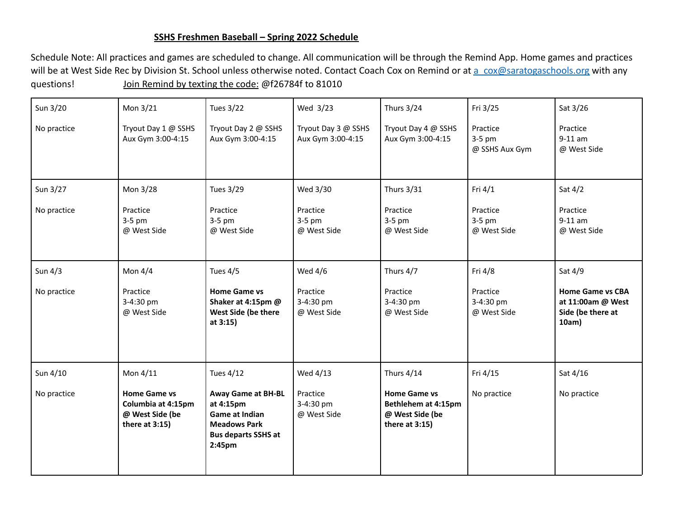## **SSHS Freshmen Baseball – Spring 2022 Schedule**

Schedule Note: All practices and games are scheduled to change. All communication will be through the Remind App. Home games and practices will be at West Side Rec by Division St. School unless otherwise noted. Contact Coach Cox on Remind or at [a\\_cox@saratogaschools.org](mailto:a_cox@saratogaschools.org) with any questions! Join Remind by texting the code: @f26784f to 81010

| Sun 3/20    | Mon 3/21                                                                       | <b>Tues 3/22</b>                                                                                                 | Wed 3/23                                 | <b>Thurs 3/24</b>                                                                  | Fri 3/25                               | Sat 3/26                                                                   |
|-------------|--------------------------------------------------------------------------------|------------------------------------------------------------------------------------------------------------------|------------------------------------------|------------------------------------------------------------------------------------|----------------------------------------|----------------------------------------------------------------------------|
| No practice | Tryout Day 1 @ SSHS<br>Aux Gym 3:00-4:15                                       | Tryout Day 2 @ SSHS<br>Aux Gym 3:00-4:15                                                                         | Tryout Day 3 @ SSHS<br>Aux Gym 3:00-4:15 | Tryout Day 4 @ SSHS<br>Aux Gym 3:00-4:15                                           | Practice<br>$3-5$ pm<br>@ SSHS Aux Gym | Practice<br>$9-11$ am<br>@ West Side                                       |
| Sun 3/27    | Mon 3/28                                                                       | <b>Tues 3/29</b>                                                                                                 | Wed 3/30                                 | <b>Thurs 3/31</b>                                                                  | Fri $4/1$                              | Sat $4/2$                                                                  |
| No practice | Practice<br>$3-5$ pm<br>@ West Side                                            | Practice<br>$3-5$ pm<br>@ West Side                                                                              | Practice<br>$3-5$ pm<br>@ West Side      | Practice<br>$3-5$ pm<br>@ West Side                                                | Practice<br>$3-5$ pm<br>@ West Side    | Practice<br>$9-11$ am<br>@ West Side                                       |
| Sun 4/3     | Mon $4/4$                                                                      | Tues 4/5                                                                                                         | Wed 4/6                                  | Thurs 4/7                                                                          | Fri 4/8                                | Sat 4/9                                                                    |
| No practice | Practice<br>3-4:30 pm<br>@ West Side                                           | <b>Home Game vs</b><br>Shaker at 4:15pm @<br>West Side (be there<br>at 3:15)                                     | Practice<br>3-4:30 pm<br>@ West Side     | Practice<br>3-4:30 pm<br>@ West Side                                               | Practice<br>3-4:30 pm<br>@ West Side   | <b>Home Game vs CBA</b><br>at 11:00am @ West<br>Side (be there at<br>10am) |
| Sun 4/10    | Mon 4/11                                                                       | <b>Tues 4/12</b>                                                                                                 | Wed 4/13                                 | Thurs 4/14                                                                         | Fri 4/15                               | Sat 4/16                                                                   |
| No practice | <b>Home Game vs</b><br>Columbia at 4:15pm<br>@ West Side (be<br>there at 3:15) | Away Game at BH-BL<br>at 4:15pm<br>Game at Indian<br><b>Meadows Park</b><br><b>Bus departs SSHS at</b><br>2:45pm | Practice<br>3-4:30 pm<br>@ West Side     | <b>Home Game vs</b><br>Bethlehem at 4:15pm<br>@ West Side (be<br>there at $3:15$ ) | No practice                            | No practice                                                                |